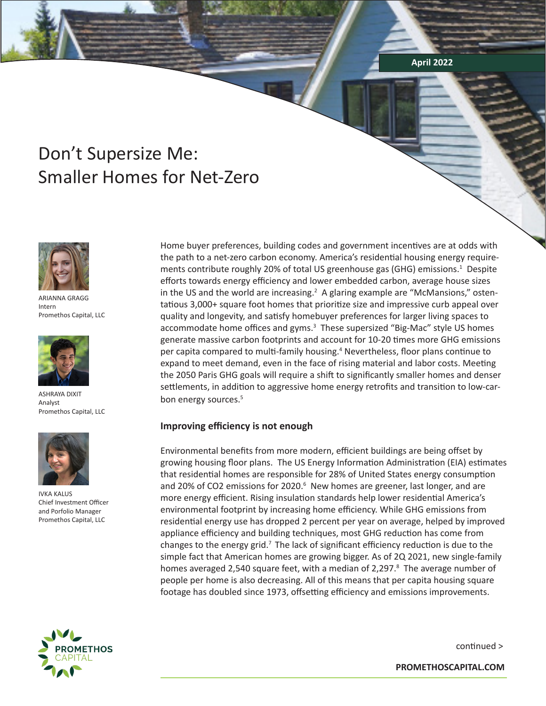**April 2022**

# Don't Supersize Me: Smaller Homes for Net-Zero



ARIANNA GRAGG Intern Promethos Capital, LLC



ASHRAYA DIXIT Analyst Promethos Capital, LLC



IVKA KALUS Chief Investment Officer and Porfolio Manager Promethos Capital, LLC

Home buyer preferences, building codes and government incentives are at odds with the path to a net-zero carbon economy. America's residential housing energy requirements contribute roughly 20% of total US greenhouse gas (GHG) emissions.<sup>1</sup> Despite efforts towards energy efficiency and lower embedded carbon, average house sizes in the US and the world are increasing.<sup>2</sup> A glaring example are "McMansions," ostentatious 3,000+ square foot homes that prioritize size and impressive curb appeal over quality and longevity, and satisfy homebuyer preferences for larger living spaces to accommodate home offices and gyms.<sup>3</sup> These supersized "Big-Mac" style US homes generate massive carbon footprints and account for 10-20 times more GHG emissions per capita compared to multi-family housing.<sup>4</sup> Nevertheless, floor plans continue to expand to meet demand, even in the face of rising material and labor costs. Meeting the 2050 Paris GHG goals will require a shift to significantly smaller homes and denser settlements, in addition to aggressive home energy retrofits and transition to low-carbon energy sources.<sup>5</sup>

# **Improving efficiency is not enough**

Environmental benefits from more modern, efficient buildings are being offset by growing housing floor plans. The US Energy Information Administration (EIA) estimates that residential homes are responsible for 28% of United States energy consumption and 20% of CO2 emissions for 2020.<sup>6</sup> New homes are greener, last longer, and are more energy efficient. Rising insulation standards help lower residential America's environmental footprint by increasing home efficiency. While GHG emissions from residential energy use has dropped 2 percent per year on average, helped by improved appliance efficiency and building techniques, most GHG reduction has come from changes to the energy grid.<sup>7</sup> The lack of significant efficiency reduction is due to the simple fact that American homes are growing bigger. As of 2Q 2021, new single-family homes averaged 2,540 square feet, with a median of 2,297.<sup>8</sup> The average number of people per home is also decreasing. All of this means that per capita housing square footage has doubled since 1973, offsetting efficiency and emissions improvements.



continued >

**PROMETHOSCAPITAL.COM**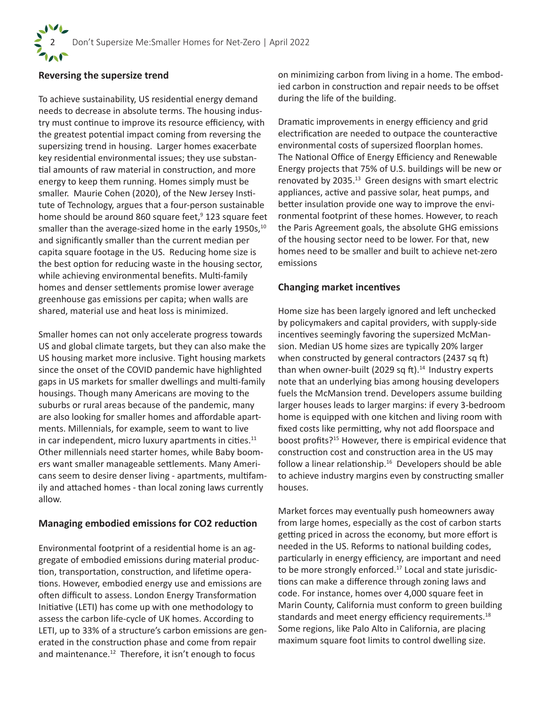# **Reversing the supersize trend**

To achieve sustainability, US residential energy demand needs to decrease in absolute terms. The housing industry must continue to improve its resource efficiency, with the greatest potential impact coming from reversing the supersizing trend in housing. Larger homes exacerbate key residential environmental issues; they use substantial amounts of raw material in construction, and more energy to keep them running. Homes simply must be smaller. Maurie Cohen (2020), of the New Jersey Institute of Technology, argues that a four-person sustainable home should be around 860 square feet,<sup>9</sup> 123 square feet smaller than the average-sized home in the early  $1950s$ ,<sup>10</sup> and significantly smaller than the current median per capita square footage in the US. Reducing home size is the best option for reducing waste in the housing sector, while achieving environmental benefits. Multi-family homes and denser settlements promise lower average greenhouse gas emissions per capita; when walls are shared, material use and heat loss is minimized.

Smaller homes can not only accelerate progress towards US and global climate targets, but they can also make the US housing market more inclusive. Tight housing markets since the onset of the COVID pandemic have highlighted gaps in US markets for smaller dwellings and multi-family housings. Though many Americans are moving to the suburbs or rural areas because of the pandemic, many are also looking for smaller homes and affordable apartments. Millennials, for example, seem to want to live in car independent, micro luxury apartments in cities.<sup>11</sup> Other millennials need starter homes, while Baby boomers want smaller manageable settlements. Many Americans seem to desire denser living - apartments, multifamily and attached homes - than local zoning laws currently allow.

# **Managing embodied emissions for CO2 reduction**

Environmental footprint of a residential home is an aggregate of embodied emissions during material production, transportation, construction, and lifetime operations. However, embodied energy use and emissions are often difficult to assess. London Energy Transformation Initiative (LETI) has come up with one methodology to assess the carbon life-cycle of UK homes. According to LETI, up to 33% of a structure's carbon emissions are generated in the construction phase and come from repair and maintenance.<sup>12</sup> Therefore, it isn't enough to focus

on minimizing carbon from living in a home. The embodied carbon in construction and repair needs to be offset during the life of the building.

Dramatic improvements in energy efficiency and grid electrification are needed to outpace the counteractive environmental costs of supersized floorplan homes. The National Office of Energy Efficiency and Renewable Energy projects that 75% of U.S. buildings will be new or renovated by 2035.<sup>13</sup> Green designs with smart electric appliances, active and passive solar, heat pumps, and better insulation provide one way to improve the environmental footprint of these homes. However, to reach the Paris Agreement goals, the absolute GHG emissions of the housing sector need to be lower. For that, new homes need to be smaller and built to achieve net-zero emissions

# **Changing market incentives**

Home size has been largely ignored and left unchecked by policymakers and capital providers, with supply-side incentives seemingly favoring the supersized McMansion. Median US home sizes are typically 20% larger when constructed by general contractors (2437 sq ft) than when owner-built (2029 sq ft). $14$  Industry experts note that an underlying bias among housing developers fuels the McMansion trend. Developers assume building larger houses leads to larger margins: if every 3-bedroom home is equipped with one kitchen and living room with fixed costs like permitting, why not add floorspace and boost profits?15 However, there is empirical evidence that construction cost and construction area in the US may follow a linear relationship. $16$  Developers should be able to achieve industry margins even by constructing smaller houses.

Market forces may eventually push homeowners away from large homes, especially as the cost of carbon starts getting priced in across the economy, but more effort is needed in the US. Reforms to national building codes, particularly in energy efficiency, are important and need to be more strongly enforced.<sup>17</sup> Local and state jurisdictions can make a difference through zoning laws and code. For instance, homes over 4,000 square feet in Marin County, California must conform to green building standards and meet energy efficiency requirements.<sup>18</sup> Some regions, like Palo Alto in California, are placing maximum square foot limits to control dwelling size.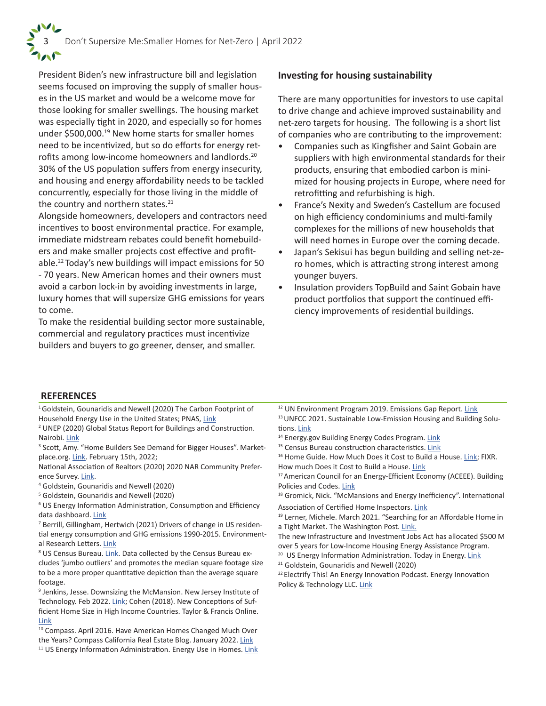President Biden's new infrastructure bill and legislation seems focused on improving the supply of smaller houses in the US market and would be a welcome move for those looking for smaller swellings. The housing market was especially tight in 2020, and especially so for homes under \$500,000.19 New home starts for smaller homes need to be incentivized, but so do efforts for energy retrofits among low-income homeowners and landlords.20 30% of the US population suffers from energy insecurity, and housing and energy affordability needs to be tackled concurrently, especially for those living in the middle of the country and northern states.<sup>21</sup>

Alongside homeowners, developers and contractors need incentives to boost environmental practice. For example, immediate midstream rebates could benefit homebuilders and make smaller projects cost effective and profitable.22 Today's new buildings will impact emissions for 50 - 70 years. New American homes and their owners must avoid a carbon lock-in by avoiding investments in large, luxury homes that will supersize GHG emissions for years to come.

To make the residential building sector more sustainable, commercial and regulatory practices must incentivize builders and buyers to go greener, denser, and smaller.

# **Investing for housing sustainability**

There are many opportunities for investors to use capital to drive change and achieve improved sustainability and net-zero targets for housing. The following is a short list of companies who are contributing to the improvement:

- Companies such as Kingfisher and Saint Gobain are suppliers with high environmental standards for their products, ensuring that embodied carbon is minimized for housing projects in Europe, where need for retrofitting and refurbishing is high.
- France's Nexity and Sweden's Castellum are focused on high efficiency condominiums and multi-family complexes for the millions of new households that will need homes in Europe over the coming decade.
- Japan's Sekisui has begun building and selling net-zero homes, which is attracting strong interest among younger buyers.
- Insulation providers TopBuild and Saint Gobain have product portfolios that support the continued efficiency improvements of residential buildings.

### **REFERENCES**

<sup>1</sup> Goldstein, Gounaridis and Newell (2020) The Carbon Footprint of Household Energy Use in the United States; PNAS, Link

2 UNEP (2020) Global Status Report for Buildings and Construction. Nairobi. Link

<sup>3</sup> Scott, Amy. "Home Builders See Demand for Bigger Houses". Marketplace.org. Link. February 15th, 2022;

National Association of Realtors (2020) 2020 NAR Community Preference Survey. Link.

- 4 Goldstein, Gounaridis and Newell (2020)
- 5 Goldstein, Gounaridis and Newell (2020)

6 US Energy Information Administration, Consumption and Efficiency data dashboard. Link

7 Berrill, Gillingham, Hertwich (2021) Drivers of change in US residential energy consumption and GHG emissions 1990-2015. Environmental Research Letters. Link

<sup>8</sup> US Census Bureau. *Link*. Data collected by the Census Bureau excludes 'jumbo outliers' and promotes the median square footage size to be a more proper quantitative depiction than the average square footage.

<sup>9</sup> Jenkins, Jesse. Downsizing the McMansion. New Jersey Institute of Technology. Feb 2022. Link; Cohen (2018). New Conceptions of Sufficient Home Size in High Income Countries. Taylor & Francis Online. Link

<sup>10</sup> Compass. April 2016. Have American Homes Changed Much Over the Years? Compass California Real Estate Blog. January 2022. Link <sup>11</sup> US Energy Information Administration. Energy Use in Homes. Link

- <sup>12</sup> UN Environment Program 2019. Emissions Gap Report. Link <sup>13</sup> UNFCC 2021. Sustainable Low-Emission Housing and Building Solutions. Link
- <sup>14</sup> Energy.gov Building Energy Codes Program. Link
- <sup>15</sup> Census Bureau construction characteristics. Link
- <sup>16</sup> Home Guide. How Much Does it Cost to Build a House. Link; FIXR. How much Does it Cost to Build a House. Link
- <sup>17</sup> American Council for an Energy-Efficient Economy (ACEEE). Building Policies and Codes. Link
- <sup>18</sup> Gromick, Nick. "McMansions and Energy Inefficiency". International

Association of Certified Home Inspectors. Link

<sup>19</sup> Lerner, Michele. March 2021. "Searching for an Affordable Home in a Tight Market. The Washington Post. Link.

The new Infrastructure and Investment Jobs Act has allocated \$500 M over 5 years for Low-Income Housing Energy Assistance Program.

- <sup>20</sup> US Energy Information Administration. Today in Energy. Link
- <sup>21</sup> Goldstein, Gounaridis and Newell (2020)

<sup>22</sup> Electrify This! An Energy Innovation Podcast. Energy Innovation Policy & Technology LLC. Link